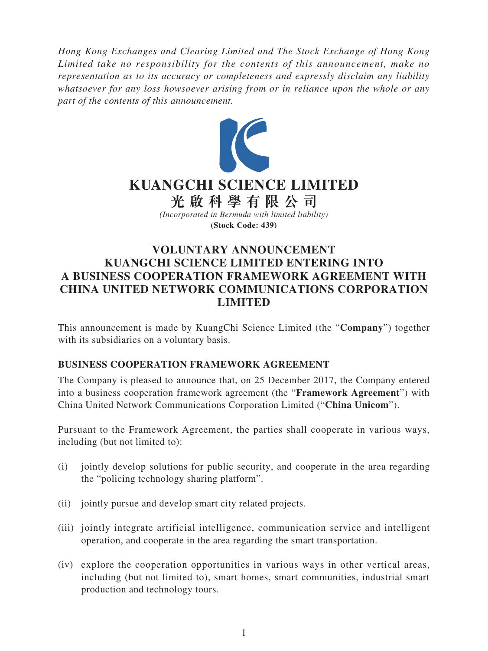*Hong Kong Exchanges and Clearing Limited and The Stock Exchange of Hong Kong Limited take no responsibility for the contents of this announcement, make no representation as to its accuracy or completeness and expressly disclaim any liability whatsoever for any loss howsoever arising from or in reliance upon the whole or any part of the contents of this announcement.*



# **VOLUNTARY ANNOUNCEMENT KUANGCHI SCIENCE LIMITED ENTERING INTO A BUSINESS COOPERATION FRAMEWORK AGREEMENT WITH CHINA UNITED NETWORK COMMUNICATIONS CORPORATION LIMITED**

This announcement is made by KuangChi Science Limited (the "**Company**") together with its subsidiaries on a voluntary basis.

## **BUSINESS COOPERATION FRAMEWORK AGREEMENT**

The Company is pleased to announce that, on 25 December 2017, the Company entered into a business cooperation framework agreement (the "**Framework Agreement**") with China United Network Communications Corporation Limited ("**China Unicom**").

Pursuant to the Framework Agreement, the parties shall cooperate in various ways, including (but not limited to):

- (i) jointly develop solutions for public security, and cooperate in the area regarding the "policing technology sharing platform".
- (ii) jointly pursue and develop smart city related projects.
- (iii) jointly integrate artificial intelligence, communication service and intelligent operation, and cooperate in the area regarding the smart transportation.
- (iv) explore the cooperation opportunities in various ways in other vertical areas, including (but not limited to), smart homes, smart communities, industrial smart production and technology tours.